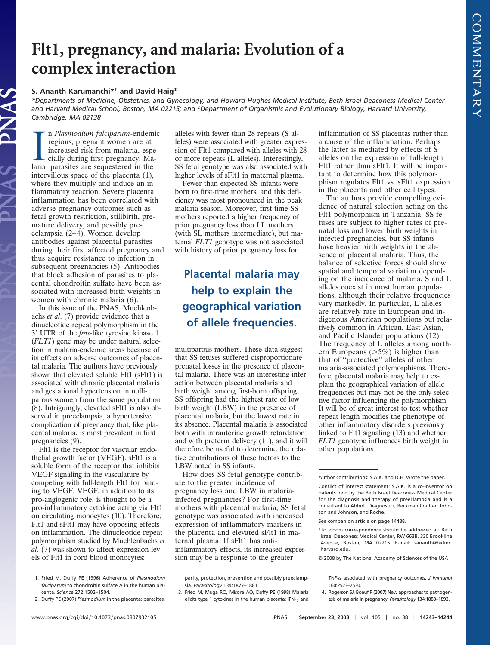## **Flt1, pregnancy, and malaria: Evolution of a complex interaction**

## **S. Ananth Karumanchi\*† and David Haig‡**

*\*Departments of Medicine, Obstetrics, and Gynecology, and Howard Hughes Medical Institute, Beth Israel Deaconess Medical Center and Harvard Medical School, Boston, MA 02215; and ‡Department of Organismic and Evolutionary Biology, Harvard University, Cambridge, MA 02138*

In Plasmodium falciparum-endem<br>regions, pregnant women are at<br>increased risk from malaria, esp<br>cially during first pregnancy. Ma<br>larial parasites are sequestered in the n *Plasmodium falciparum*-endemic regions, pregnant women are at increased risk from malaria, especially during first pregnancy. Maintervillous space of the placenta (1), where they multiply and induce an inflammatory reaction. Severe placental inflammation has been correlated with adverse pregnancy outcomes such as fetal growth restriction, stillbirth, premature delivery, and possibly preeclampsia (2–4). Women develop antibodies against placental parasites during their first affected pregnancy and thus acquire resistance to infection in subsequent pregnancies (5). Antibodies that block adhesion of parasites to placental chondroitin sulfate have been associated with increased birth weights in women with chronic malaria (6).

In this issue of the PNAS, Muehlenbachs *et al*. (7) provide evidence that a dinucleotide repeat polymorphism in the 3 UTR of the *fms*-like tyrosine kinase 1 (*FLT1*) gene may be under natural selection in malaria-endemic areas because of its effects on adverse outcomes of placental malaria. The authors have previously shown that elevated soluble Flt1 (sFlt1) is associated with chronic placental malaria and gestational hypertension in nulliparous women from the same population (8). Intriguingly, elevated sFlt1 is also observed in preeclampsia, a hypertensive complication of pregnancy that, like placental malaria, is most prevalent in first pregnancies (9).

Flt1 is the receptor for vascular endothelial growth factor (VEGF). sFlt1 is a soluble form of the receptor that inhibits VEGF signaling in the vasculature by competing with full-length Flt1 for binding to VEGF. VEGF, in addition to its pro-angiogenic role, is thought to be a pro-inflammatory cytokine acting via Flt1 on circulating monocytes (10). Therefore, Flt1 and sFlt1 may have opposing effects on inflammation. The dinucleotide repeat polymorphism studied by Muehlenbachs *et al.* (7) was shown to affect expression levels of Flt1 in cord blood monocytes:

- 1. Fried M, Duffy PE (1996) Adherence of *Plasmodium falciparum* to chondroitin sulfate A in the human placenta. *Science* 272:1502–1504.
- 2. Duffy PE (2007) *Plasmodium* in the placenta: parasites,

alleles with fewer than 28 repeats (S alleles) were associated with greater expression of Flt1 compared with alleles with 28 or more repeats (L alleles). Interestingly, SS fetal genotype was also associated with higher levels of sFlt1 in maternal plasma.

Fewer than expected SS infants were born to first-time mothers, and this deficiency was most pronounced in the peak malaria season. Moreover, first-time SS mothers reported a higher frequency of prior pregnancy loss than LL mothers (with SL mothers intermediate), but maternal *FLT1* genotype was not associated with history of prior pregnancy loss for

## **Placental malaria may help to explain the geographical variation of allele frequencies.**

multiparous mothers. These data suggest that SS fetuses suffered disproportionate prenatal losses in the presence of placental malaria. There was an interesting interaction between placental malaria and birth weight among first-born offspring. SS offspring had the highest rate of low birth weight (LBW) in the presence of placental malaria, but the lowest rate in its absence. Placental malaria is associated both with intrauterine growth retardation and with preterm delivery (11), and it will therefore be useful to determine the relative contributions of these factors to the LBW noted in SS infants.

How does SS fetal genotype contribute to the greater incidence of pregnancy loss and LBW in malariainfected pregnancies? For first-time mothers with placental malaria, SS fetal genotype was associated with increased expression of inflammatory markers in the placenta and elevated sFlt1 in maternal plasma. If sFlt1 has antiinflammatory effects, its increased expression may be a response to the greater

inflammation of SS placentas rather than a cause of the inflammation. Perhaps the latter is mediated by effects of S alleles on the expression of full-length Flt1 rather than sFlt1. It will be important to determine how this polymorphism regulates Flt1 vs. sFlt1 expression in the placenta and other cell types.

The authors provide compelling evidence of natural selection acting on the Flt1 polymorphism in Tanzania. SS fetuses are subject to higher rates of prenatal loss and lower birth weights in infected pregnancies, but SS infants have heavier birth weights in the absence of placental malaria. Thus, the balance of selective forces should show spatial and temporal variation depending on the incidence of malaria. S and L alleles coexist in most human populations, although their relative frequencies vary markedly. In particular, L alleles are relatively rare in European and indigenous American populations but relatively common in African, East Asian, and Pacific Islander populations (12). The frequency of L alleles among northern Europeans  $(>=5%)$  is higher than that of ''protective'' alleles of other malaria-associated polymorphisms. Therefore, placental malaria may help to explain the geographical variation of allele frequencies but may not be the only selective factor influencing the polymorphism. It will be of great interest to test whether repeat length modifies the phenotype of other inflammatory disorders previously linked to Flt1 signaling (13) and whether *FLT1* genotype influences birth weight in other populations.

4. Rogerson SJ, Boeuf P (2007) New approaches to pathogenesis of malaria in pregnancy. *Parasitology* 134:1883–1893.

parity, protection, prevention and possibly preeclampsia. *Parasitology* 134:1877–1881.

<sup>3.</sup> Fried M, Muga RO, Misore AO, Duffy PE (1998) Malaria elicits type 1 cytokines in the human placenta: IFN- $\gamma$  and

Author contributions: S.A.K. and D.H. wrote the paper.

Conflict of interest statement: S.A.K. is a co-inventor on patents held by the Beth Israel Deaconess Medical Center for the diagnosis and therapy of preeclampsia and is a consultant to Abbott Diagnostics, Beckman Coulter, Johnson and Johnson, and Roche.

See companion article on page 14488.

<sup>†</sup>To whom correspondence should be addressed at: Beth Israel Deaconess Medical Center, RW 663B, 330 Brookline Avenue, Boston, MA 02215. E-mail: sananth@bidmc. harvard.edu.

<sup>© 2008</sup> by The National Academy of Sciences of the USA

TNF- $\alpha$  associated with pregnancy outcomes. *J Immunol* 160:2523–2530.